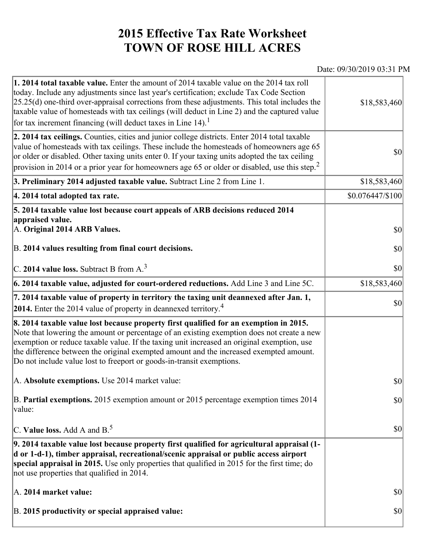## **2015 Effective Tax Rate Worksheet TOWN OF ROSE HILL ACRES**

## Date: 09/30/2019 03:31 PM

| 1. 2014 total taxable value. Enter the amount of 2014 taxable value on the 2014 tax roll<br>today. Include any adjustments since last year's certification; exclude Tax Code Section<br>$[25.25(d)$ one-third over-appraisal corrections from these adjustments. This total includes the<br>taxable value of homesteads with tax ceilings (will deduct in Line 2) and the captured value<br>for tax increment financing (will deduct taxes in Line $14$ ). | \$18,583,460               |
|------------------------------------------------------------------------------------------------------------------------------------------------------------------------------------------------------------------------------------------------------------------------------------------------------------------------------------------------------------------------------------------------------------------------------------------------------------|----------------------------|
| 2. 2014 tax ceilings. Counties, cities and junior college districts. Enter 2014 total taxable<br>value of homesteads with tax ceilings. These include the homesteads of homeowners age 65<br>or older or disabled. Other taxing units enter 0. If your taxing units adopted the tax ceiling<br>provision in 2014 or a prior year for homeowners age 65 or older or disabled, use this step. <sup>2</sup>                                                   | \$0                        |
| 3. Preliminary 2014 adjusted taxable value. Subtract Line 2 from Line 1.                                                                                                                                                                                                                                                                                                                                                                                   | \$18,583,460               |
| 4. 2014 total adopted tax rate.                                                                                                                                                                                                                                                                                                                                                                                                                            | $$0.076447/\$100$          |
| 5. 2014 taxable value lost because court appeals of ARB decisions reduced 2014<br>appraised value.<br>A. Original 2014 ARB Values.<br>B. 2014 values resulting from final court decisions.                                                                                                                                                                                                                                                                 | <b>\$0</b><br>$ 10\rangle$ |
|                                                                                                                                                                                                                                                                                                                                                                                                                                                            |                            |
| C. 2014 value loss. Subtract B from $A3$                                                                                                                                                                                                                                                                                                                                                                                                                   | \$0                        |
| 6. 2014 taxable value, adjusted for court-ordered reductions. Add Line 3 and Line 5C.                                                                                                                                                                                                                                                                                                                                                                      | \$18,583,460               |
| 7. 2014 taxable value of property in territory the taxing unit deannexed after Jan. 1,<br>2014. Enter the 2014 value of property in deannexed territory. <sup>4</sup>                                                                                                                                                                                                                                                                                      | $ 10\rangle$               |
| 8. 2014 taxable value lost because property first qualified for an exemption in 2015.<br>Note that lowering the amount or percentage of an existing exemption does not create a new<br>exemption or reduce taxable value. If the taxing unit increased an original exemption, use<br>the difference between the original exempted amount and the increased exempted amount.<br>Do not include value lost to freeport or goods-in-transit exemptions.       |                            |
| A. Absolute exemptions. Use 2014 market value:                                                                                                                                                                                                                                                                                                                                                                                                             | \$0                        |
| B. Partial exemptions. 2015 exemption amount or 2015 percentage exemption times 2014<br>value:                                                                                                                                                                                                                                                                                                                                                             | $ 10\rangle$               |
| C. Value loss. Add A and $B^5$                                                                                                                                                                                                                                                                                                                                                                                                                             | $ 10\rangle$               |
| 9. 2014 taxable value lost because property first qualified for agricultural appraisal (1-<br>d or 1-d-1), timber appraisal, recreational/scenic appraisal or public access airport<br>special appraisal in 2015. Use only properties that qualified in 2015 for the first time; do<br>not use properties that qualified in 2014.                                                                                                                          |                            |
| A. 2014 market value:                                                                                                                                                                                                                                                                                                                                                                                                                                      | $ 10\rangle$               |
| B. 2015 productivity or special appraised value:                                                                                                                                                                                                                                                                                                                                                                                                           | $ 10\rangle$               |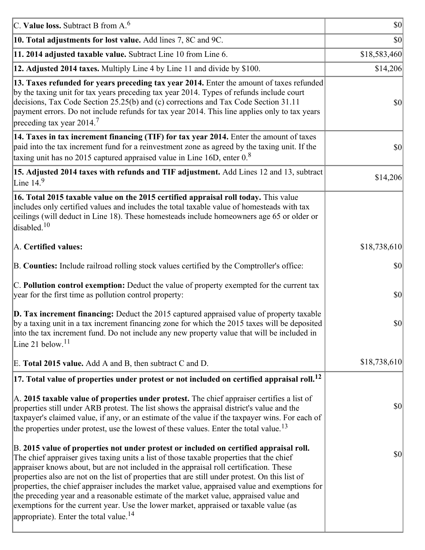| C. Value loss. Subtract B from $A6$                                                                                                                                                                                                                                                                                                                                                                                                                                                                                                                                                                                                                                                                                      | $ 10\rangle$ |
|--------------------------------------------------------------------------------------------------------------------------------------------------------------------------------------------------------------------------------------------------------------------------------------------------------------------------------------------------------------------------------------------------------------------------------------------------------------------------------------------------------------------------------------------------------------------------------------------------------------------------------------------------------------------------------------------------------------------------|--------------|
| 10. Total adjustments for lost value. Add lines 7, 8C and 9C.                                                                                                                                                                                                                                                                                                                                                                                                                                                                                                                                                                                                                                                            | $ 10\rangle$ |
| 11. 2014 adjusted taxable value. Subtract Line 10 from Line 6.                                                                                                                                                                                                                                                                                                                                                                                                                                                                                                                                                                                                                                                           | \$18,583,460 |
| 12. Adjusted 2014 taxes. Multiply Line 4 by Line 11 and divide by \$100.                                                                                                                                                                                                                                                                                                                                                                                                                                                                                                                                                                                                                                                 | \$14,206     |
| 13. Taxes refunded for years preceding tax year 2014. Enter the amount of taxes refunded<br>by the taxing unit for tax years preceding tax year 2014. Types of refunds include court<br>decisions, Tax Code Section 25.25(b) and (c) corrections and Tax Code Section 31.11<br>payment errors. Do not include refunds for tax year 2014. This line applies only to tax years<br>preceding tax year 2014. <sup>7</sup>                                                                                                                                                                                                                                                                                                    | $ 10\rangle$ |
| 14. Taxes in tax increment financing (TIF) for tax year 2014. Enter the amount of taxes<br>paid into the tax increment fund for a reinvestment zone as agreed by the taxing unit. If the<br>taxing unit has no 2015 captured appraised value in Line 16D, enter $0.8$                                                                                                                                                                                                                                                                                                                                                                                                                                                    | $ 10\rangle$ |
| 15. Adjusted 2014 taxes with refunds and TIF adjustment. Add Lines 12 and 13, subtract<br>Line $149$                                                                                                                                                                                                                                                                                                                                                                                                                                                                                                                                                                                                                     | \$14,206     |
| 16. Total 2015 taxable value on the 2015 certified appraisal roll today. This value<br>includes only certified values and includes the total taxable value of homesteads with tax<br>ceilings (will deduct in Line 18). These homesteads include homeowners age 65 or older or<br>disabled. <sup>10</sup>                                                                                                                                                                                                                                                                                                                                                                                                                |              |
| A. Certified values:                                                                                                                                                                                                                                                                                                                                                                                                                                                                                                                                                                                                                                                                                                     | \$18,738,610 |
| B. Counties: Include railroad rolling stock values certified by the Comptroller's office:                                                                                                                                                                                                                                                                                                                                                                                                                                                                                                                                                                                                                                | \$0          |
| C. Pollution control exemption: Deduct the value of property exempted for the current tax<br>year for the first time as pollution control property:                                                                                                                                                                                                                                                                                                                                                                                                                                                                                                                                                                      | \$0          |
| $\vert$ D. Tax increment financing: Deduct the 2015 captured appraised value of property taxable<br>by a taxing unit in a tax increment financing zone for which the 2015 taxes will be deposited<br>into the tax increment fund. Do not include any new property value that will be included in<br>Line 21 below. $11$                                                                                                                                                                                                                                                                                                                                                                                                  | \$0          |
| E. Total 2015 value. Add A and B, then subtract C and D.                                                                                                                                                                                                                                                                                                                                                                                                                                                                                                                                                                                                                                                                 | \$18,738,610 |
| $ 17$ . Total value of properties under protest or not included on certified appraisal roll. <sup>12</sup>                                                                                                                                                                                                                                                                                                                                                                                                                                                                                                                                                                                                               |              |
| A. 2015 taxable value of properties under protest. The chief appraiser certifies a list of<br>properties still under ARB protest. The list shows the appraisal district's value and the<br>taxpayer's claimed value, if any, or an estimate of the value if the taxpayer wins. For each of<br>the properties under protest, use the lowest of these values. Enter the total value. <sup>13</sup>                                                                                                                                                                                                                                                                                                                         | $ 10\rangle$ |
| B. 2015 value of properties not under protest or included on certified appraisal roll.<br>The chief appraiser gives taxing units a list of those taxable properties that the chief<br>appraiser knows about, but are not included in the appraisal roll certification. These<br>properties also are not on the list of properties that are still under protest. On this list of<br>properties, the chief appraiser includes the market value, appraised value and exemptions for<br>the preceding year and a reasonable estimate of the market value, appraised value and<br>exemptions for the current year. Use the lower market, appraised or taxable value (as<br>appropriate). Enter the total value. <sup>14</sup> | \$0          |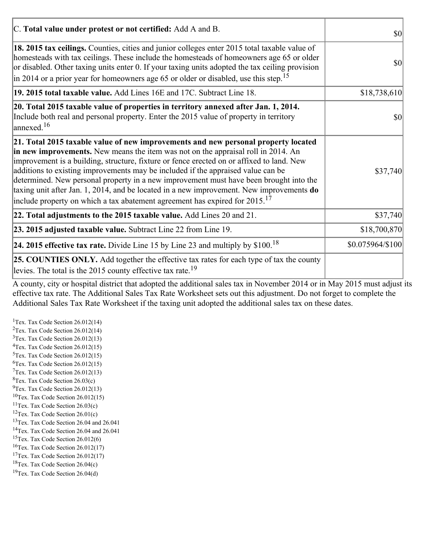| C. Total value under protest or not certified: Add A and B.                                                                                                                                                                                                                                                                                                                                                                                                                                                                                                                                                                                  | $\vert \mathbf{S} \mathbf{O} \vert$ |
|----------------------------------------------------------------------------------------------------------------------------------------------------------------------------------------------------------------------------------------------------------------------------------------------------------------------------------------------------------------------------------------------------------------------------------------------------------------------------------------------------------------------------------------------------------------------------------------------------------------------------------------------|-------------------------------------|
| 18. 2015 tax ceilings. Counties, cities and junior colleges enter 2015 total taxable value of<br>homesteads with tax ceilings. These include the homesteads of homeowners age 65 or older<br>or disabled. Other taxing units enter 0. If your taxing units adopted the tax ceiling provision<br>$\vert$ in 2014 or a prior year for homeowners age 65 or older or disabled, use this step. <sup>15</sup>                                                                                                                                                                                                                                     | $ 10\rangle$                        |
| 19. 2015 total taxable value. Add Lines 16E and 17C. Subtract Line 18.                                                                                                                                                                                                                                                                                                                                                                                                                                                                                                                                                                       | \$18,738,610                        |
| 20. Total 2015 taxable value of properties in territory annexed after Jan. 1, 2014.<br>Include both real and personal property. Enter the 2015 value of property in territory<br>$\frac{16}{2}$                                                                                                                                                                                                                                                                                                                                                                                                                                              | 30                                  |
| 21. Total 2015 taxable value of new improvements and new personal property located<br>in new improvements. New means the item was not on the appraisal roll in 2014. An<br>improvement is a building, structure, fixture or fence erected on or affixed to land. New<br>additions to existing improvements may be included if the appraised value can be<br>determined. New personal property in a new improvement must have been brought into the<br>taxing unit after Jan. 1, 2014, and be located in a new improvement. New improvements do<br>include property on which a tax abatement agreement has expired for $2015$ . <sup>17</sup> | \$37,740                            |
| 22. Total adjustments to the 2015 taxable value. Add Lines 20 and 21.                                                                                                                                                                                                                                                                                                                                                                                                                                                                                                                                                                        | \$37,740                            |
| 23. 2015 adjusted taxable value. Subtract Line 22 from Line 19.                                                                                                                                                                                                                                                                                                                                                                                                                                                                                                                                                                              | \$18,700,870                        |
| 24. 2015 effective tax rate. Divide Line 15 by Line 23 and multiply by $$100$ . <sup>18</sup>                                                                                                                                                                                                                                                                                                                                                                                                                                                                                                                                                | \$0.075964/\$100                    |
| <b>25. COUNTIES ONLY.</b> Add together the effective tax rates for each type of tax the county<br>levies. The total is the 2015 county effective tax rate. <sup>19</sup>                                                                                                                                                                                                                                                                                                                                                                                                                                                                     |                                     |

A county, city or hospital district that adopted the additional sales tax in November 2014 or in May 2015 must adjust its effective tax rate. The Additional Sales Tax Rate Worksheet sets out this adjustment. Do not forget to complete the Additional Sales Tax Rate Worksheet if the taxing unit adopted the additional sales tax on these dates.

<sup>1</sup>Tex. Tax Code Section  $26.012(14)$ <sup>2</sup>Tex. Tax Code Section  $26.012(14)$  $3$ Tex. Tax Code Section 26.012(13)  ${}^{4}$ Tex. Tax Code Section 26.012(15)  $5$ Tex. Tax Code Section 26.012(15)  ${}^{6}$ Tex. Tax Code Section 26.012(15)  $7$ Tex. Tax Code Section 26.012(13)  ${}^{8}$ Tex. Tax Code Section 26.03(c)  $^{9}$ Tex. Tax Code Section 26.012(13)  $10$ Tex. Tax Code Section 26.012(15) <sup>11</sup>Tex. Tax Code Section  $26.03(c)$ <sup>12</sup>Tex. Tax Code Section  $26.01(c)$ <sup>13</sup>Tex. Tax Code Section 26.04 and 26.041 <sup>14</sup>Tex. Tax Code Section 26.04 and 26.041 <sup>15</sup>Tex. Tax Code Section  $26.012(6)$  $16$ Tex. Tax Code Section 26.012(17) <sup>17</sup>Tex. Tax Code Section  $26.012(17)$ <sup>18</sup>Tex. Tax Code Section 26.04(c) <sup>19</sup>Tex. Tax Code Section 26.04(d)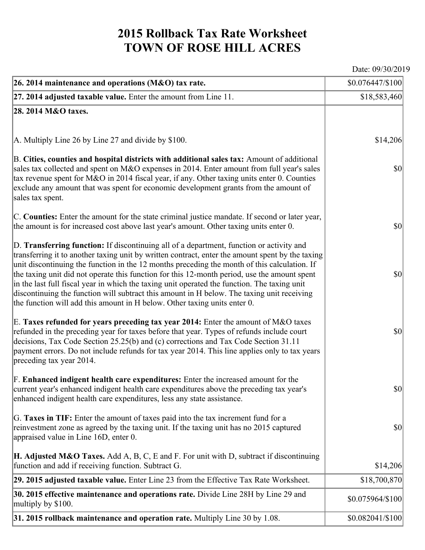## **2015 Rollback Tax Rate Worksheet TOWN OF ROSE HILL ACRES**

Date: 09/30/2019

| 26. 2014 maintenance and operations (M&O) tax rate.                                                                                                                                                                                                                                                                                                                                                                                                                                                                                                                                                                                                                     | $$0.076447/\$100$                   |
|-------------------------------------------------------------------------------------------------------------------------------------------------------------------------------------------------------------------------------------------------------------------------------------------------------------------------------------------------------------------------------------------------------------------------------------------------------------------------------------------------------------------------------------------------------------------------------------------------------------------------------------------------------------------------|-------------------------------------|
| $ 27.2014$ adjusted taxable value. Enter the amount from Line 11.                                                                                                                                                                                                                                                                                                                                                                                                                                                                                                                                                                                                       | \$18,583,460                        |
| 28. 2014 M&O taxes.                                                                                                                                                                                                                                                                                                                                                                                                                                                                                                                                                                                                                                                     |                                     |
|                                                                                                                                                                                                                                                                                                                                                                                                                                                                                                                                                                                                                                                                         |                                     |
| $ A$ . Multiply Line 26 by Line 27 and divide by \$100.                                                                                                                                                                                                                                                                                                                                                                                                                                                                                                                                                                                                                 | \$14,206                            |
| B. Cities, counties and hospital districts with additional sales tax: Amount of additional<br>sales tax collected and spent on M&O expenses in 2014. Enter amount from full year's sales<br>tax revenue spent for M&O in 2014 fiscal year, if any. Other taxing units enter 0. Counties<br>exclude any amount that was spent for economic development grants from the amount of<br>sales tax spent.                                                                                                                                                                                                                                                                     | $ 10\rangle$                        |
| C. Counties: Enter the amount for the state criminal justice mandate. If second or later year,<br>the amount is for increased cost above last year's amount. Other taxing units enter 0.                                                                                                                                                                                                                                                                                                                                                                                                                                                                                | $ 10\rangle$                        |
| D. Transferring function: If discontinuing all of a department, function or activity and<br>transferring it to another taxing unit by written contract, enter the amount spent by the taxing<br>unit discontinuing the function in the 12 months preceding the month of this calculation. If<br>the taxing unit did not operate this function for this 12-month period, use the amount spent<br>in the last full fiscal year in which the taxing unit operated the function. The taxing unit<br>discontinuing the function will subtract this amount in H below. The taxing unit receiving<br>the function will add this amount in H below. Other taxing units enter 0. | $ 10\rangle$                        |
| E. Taxes refunded for years preceding tax year 2014: Enter the amount of M&O taxes<br>refunded in the preceding year for taxes before that year. Types of refunds include court<br>decisions, Tax Code Section 25.25(b) and (c) corrections and Tax Code Section 31.11<br>payment errors. Do not include refunds for tax year 2014. This line applies only to tax years<br>preceding tax year 2014.                                                                                                                                                                                                                                                                     | $ 10\rangle$                        |
| F. Enhanced indigent health care expenditures: Enter the increased amount for the<br>current year's enhanced indigent health care expenditures above the preceding tax year's<br>enhanced indigent health care expenditures, less any state assistance.                                                                                                                                                                                                                                                                                                                                                                                                                 | $\vert \mathbf{S} \mathbf{0} \vert$ |
| G. Taxes in TIF: Enter the amount of taxes paid into the tax increment fund for a<br>reinvestment zone as agreed by the taxing unit. If the taxing unit has no 2015 captured<br>appraised value in Line 16D, enter 0.                                                                                                                                                                                                                                                                                                                                                                                                                                                   | $ 10\rangle$                        |
| <b>H. Adjusted M&amp;O Taxes.</b> Add A, B, C, E and F. For unit with D, subtract if discontinuing<br>function and add if receiving function. Subtract G.                                                                                                                                                                                                                                                                                                                                                                                                                                                                                                               | \$14,206                            |
| 29. 2015 adjusted taxable value. Enter Line 23 from the Effective Tax Rate Worksheet.                                                                                                                                                                                                                                                                                                                                                                                                                                                                                                                                                                                   | \$18,700,870                        |
| <b>30. 2015 effective maintenance and operations rate.</b> Divide Line 28H by Line 29 and<br>multiply by \$100.                                                                                                                                                                                                                                                                                                                                                                                                                                                                                                                                                         | \$0.075964/\$100                    |
| $31.2015$ rollback maintenance and operation rate. Multiply Line 30 by 1.08.                                                                                                                                                                                                                                                                                                                                                                                                                                                                                                                                                                                            | \$0.082041/\$100                    |